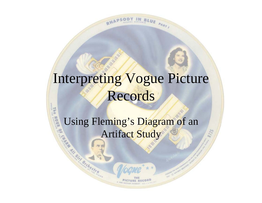# Interpreting Vogue Picture Records

**MARINE REAL** 

M. All. Cir. of chesks a.v.

RNAPSODY IN BLUE PART

The House of Using Fleming's Diagram of an Artifact Study

125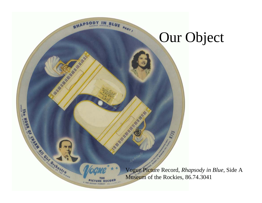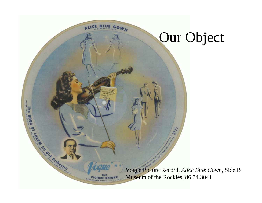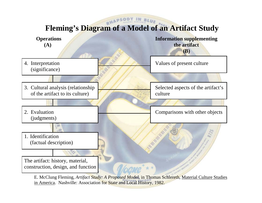

E. McClung Fleming, *Artifact Study: A Proposed Model*, in Thomas Schlereth, Material Culture Studies in America. Nashville: Association for State and Local History, 1982.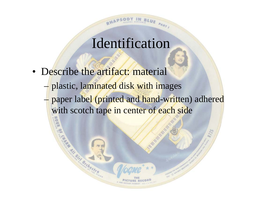- Describe the artifact: material
	- plastic, laminated disk with images
	- paper label (printed and hand-written) adhered with scotch tape in center of each side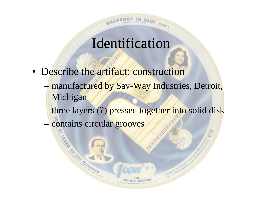

- Describe the artifact: construction
	- manufactured by Sav-Way Industries, Detroit, Michigan
	- three layers (?) pressed together into solid disk

**MATHEMATICS** 

contains circular grooves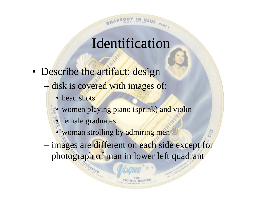- Describe the artifact: design
	- disk is covered with images of:
		- •head shots
		- women playing piano (sprink) and violin
		- •female graduates
		- woman strolling by admiring men
	- images are different on each side except for photograph of man in lower left quadrant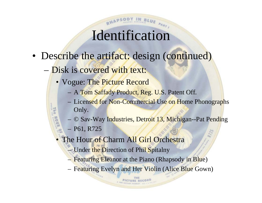PSODY IN BLUE PART

- Describe the artifact: design (continued)
	- Disk is covered with text:
		- Vogue: The Picture Record
			- A Tom Saffady Product, Reg. U.S. Patent Off.
			- Licensed for Non-Commercial Use on Home Phonographs Only.
			- © Sav-Way Industries, Detroit 13, Michigan--Pat Pending
			- P61, R725

The MOU

- The Hour of Charm All Girl Orchestra
	- Under the Direction of Phil Spitalny
	- Featuring Eleanor at the Piano (Rhapsody in Blue)
	- Featuring Evelyn and Her Violin (Alice Blue Gown)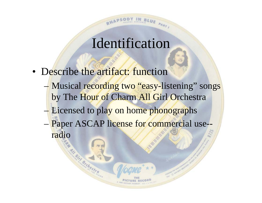Y IN BLUE PART ,

• Describe the artifact: function Musical recording two "easy-listening" songs by The Hour of Charm All Girl Orchestra Licensed to play on home phonographs Paper ASCAP license for commercial use-radio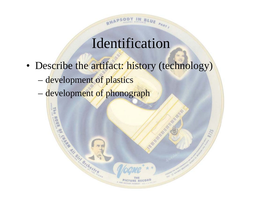Y IN BLUE PART ,

**Contraction Contraction Contraction** 

- Describe the artifact: history (technology)
	- development of plastics

**THE RIGHTS OF THE RIGHTS OF THE RIGHTS OF THE RIGHTS OF THE RIGHTS OF THE RIGHTS OF THE RIGHTS OF THE RIGHTS OF THE RIGHTS OF THE RIGHTS OF THE RIGHTS OF THE RIGHTS OF THE RIGHTS OF THE RIGHTS OF THE RIGHTS OF THE RIGHTS** 

development of phonograph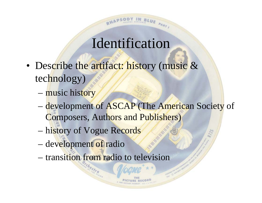- Describe the artifact: history (music & technology)
	- music history
	- development of ASCAP (The American Society of Composers, Authors and Publishers)
	- history of Vogue Records
	- development of radio
	- transition from radio to television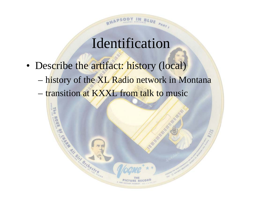Y IN BLUE PART ,

**CALIFORNIA REAL AND REAL PROPERTY** 

- Describe the artifact: history (local)
	- history of the XL Radio network in Montana
	- transition at KXXL from talk to music

THE STRIP OF THE STRIP OF THE STRIP OF THE STRIP OF THE STRIP OF THE STRIP OF THE STRIP OF THE STRIP OF THE STRIP OF THE STRIP OF THE STRIP OF THE STRIP OF THE STRIP OF THE STRIP OF THE STRIP OF THE STRIP OF THE STRIP OF T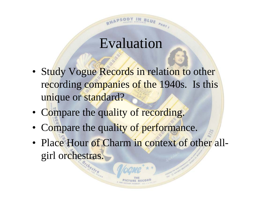#### Evaluation

- Study Vogue Records in relation to other recording companies of the 1940s. Is this unique or standard?
- Compare the quality of recording.
- Compare the quality of performance.
- Place Hour of Charm in context of other allgirl orchestras.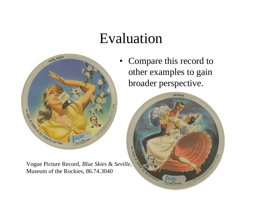#### Evaluation



Vogue Picture Record, *Blue Skies* & *Seville*, Museum of the Rockies, 86.74.3040

• Compare this record to other examples to gain broader perspective.

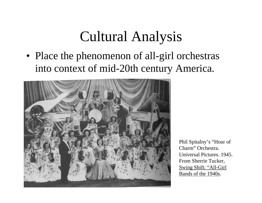### Cultural Analysis

• Place the phenomenon of all-girl orchestras into context of mid-20th century America.



Phil Spitalny's "Hour of Charm" Orchestra. Universal Pictures. 1945. From Sherrie Tucker, Swing Shift: "All-Girl Bands of the 1940s.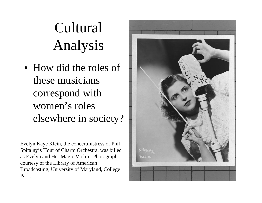## Cultural Analysis

• How did the roles of these musicians correspond with women's roles elsewhere in society?

Evelyn Kaye Klein, the concertmistress of Phil Spitalny's Hour of Charm Orchestra, was billed as Evelyn and Her Magic Violin. Photograph courtesy of the Library of American Broadcasting, University of Maryland, College Park.